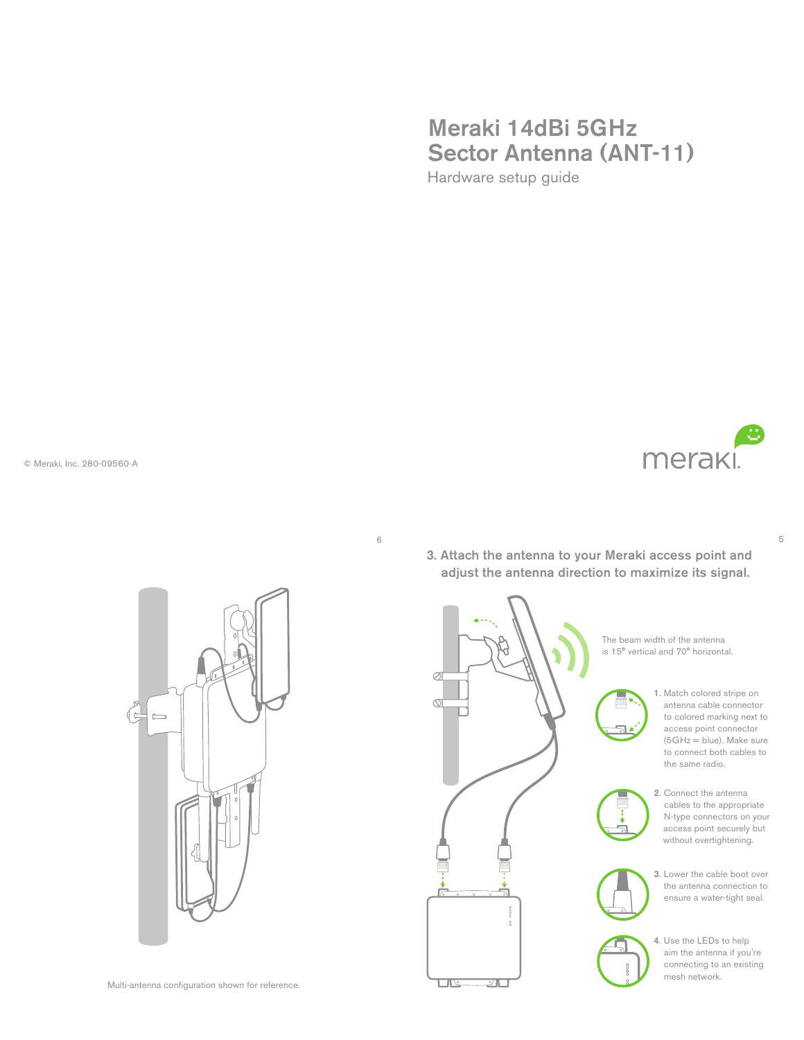## Meraki 14dBi 5GHz Sector Antenna (ANT-11) Hardware setup guide

© Meraki, Inc. 280-09560-A



5

6

3. Attach the antenna to your Meraki access point and adjust the antenna direction to maximize its signal.



- 1. Match colored stripe on antenna cable connector to colored marking next to access point connector  $(5GHz = blue)$ . Make sure to connect both cables to the same radio.
- 3. Lower the cable boot over the antenna connection to ensure a water-tight seal.
- 4. Use the LEDs to help aim the antenna if you're connecting to an existing mesh network.